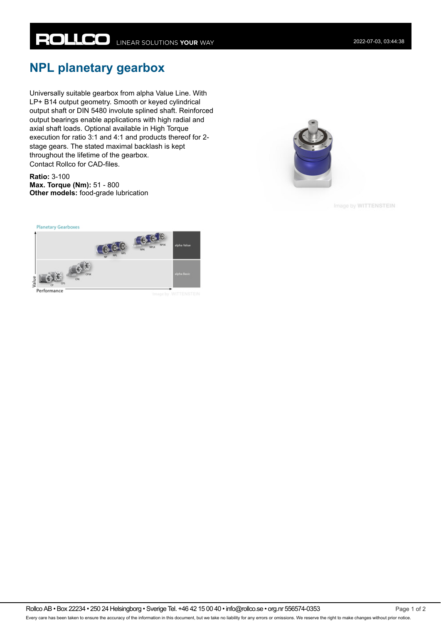## **NPL planetary gearbox**

Universally suitable gearbox from alpha Value Line. With LP+ B14 output geometry. Smooth or keyed cylindrical output shaft or DIN 5480 involute splined shaft. Reinforced output bearings enable applications with high radial and axial shaft loads. Optional available in High Torque execution for ratio 3:1 and 4:1 and products thereof for 2 stage gears. The stated maximal backlash is kept throughout the lifetime of the gearbox. Contact Rollco for CAD-files.

**Ratio:** 3-100 **Max. Torque (Nm):** 51 - 800 **Other models:** food-grade lubrication



Image by WITTENSTEIN



Rollco AB • Box 22234 • 250 24 Helsingborg • Sverige Tel. +46 42 15 00 40 • info@rollco.se • org.nr 556574-0353 Page 1 of 2 Every care has been taken to ensure the accuracy of the information in this document, but we take no liability for any errors or omissions. We reserve the right to make changes without prior notice.